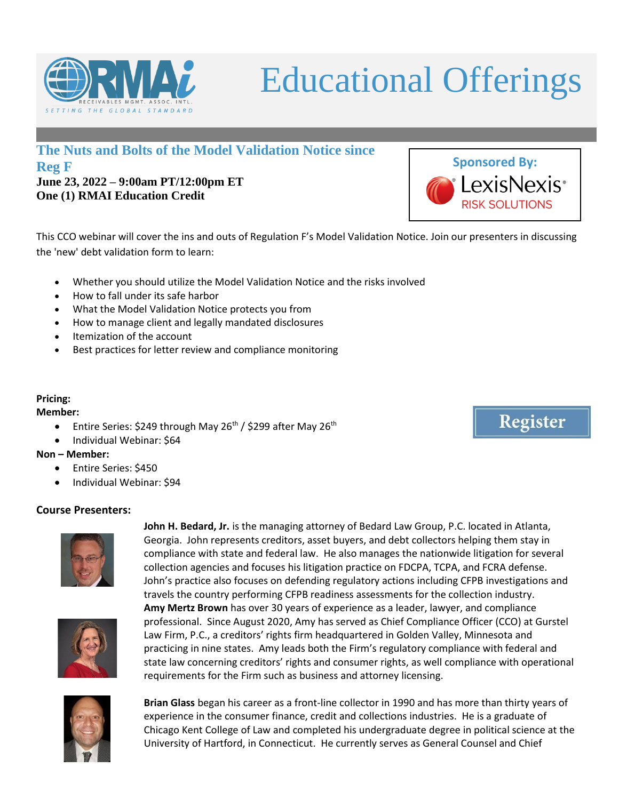

# Educational Offerings

## **The Nuts and Bolts of the Model Validation Notice since Reg F**

**June 23, 2022 – 9:00am PT/12:00pm ET One (1) RMAI Education Credit**

This CCO webinar will cover the ins and outs of Regulation F's Model Validation Notice. Join our presenters in discussing the 'new' debt validation form to learn:

- Whether you should utilize the Model Validation Notice and the risks involved
- How to fall under its safe harbor
- What the Model Validation Notice protects you from
- How to manage client and legally mandated disclosures
- Itemization of the account
- Best practices for letter review and compliance monitoring

#### **Pricing:**

#### **Member:**

- Entire Series: \$249 through May 26<sup>th</sup> / \$299 after May 26<sup>th</sup>
- Individual Webinar: \$64

#### **Non – Member:**

- Entire Series: \$450
- Individual Webinar: \$94

### **Course Presenters:**



Georgia. John represents creditors, asset buyers, and debt collectors helping them stay in compliance with state and federal law. He also manages the nationwide litigation for several collection agencies and focuses his litigation practice on FDCPA, TCPA, and FCRA defense. John's practice also focuses on defending regulatory actions including CFPB investigations and travels the country performing CFPB readiness assessments for the collection industry. **Amy Mertz Brown** has over 30 years of experience as a leader, lawyer, and compliance professional. Since August 2020, Amy has served as Chief Compliance Officer (CCO) at Gurstel Law Firm, P.C., a creditors' rights firm headquartered in Golden Valley, Minnesota and practicing in nine states. Amy leads both the Firm's regulatory compliance with federal and state law concerning creditors' rights and consumer rights, as well compliance with operational requirements for the Firm such as business and attorney licensing.

**John H. Bedard, Jr.** is the managing attorney of Bedard Law Group, P.C. located in Atlanta,



**Brian Glass** began his career as a front-line collector in 1990 and has more than thirty years of experience in the consumer finance, credit and collections industries. He is a graduate of Chicago Kent College of Law and completed his undergraduate degree in political science at the University of Hartford, in Connecticut. He currently serves as General Counsel and Chief



Register